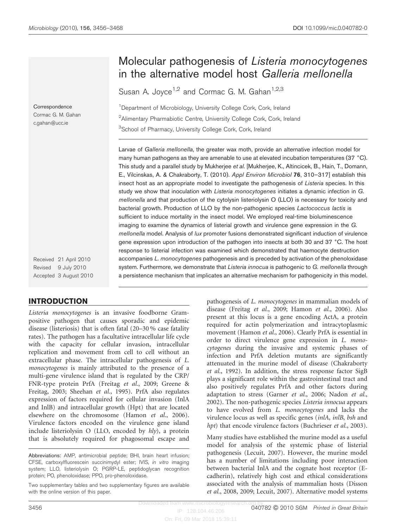**Correspondence** Cormac G. M. Gahan c.gahan@ucc.ie

Received 21 April 2010 Revised 9 July 2010 Accepted 3 August 2010

# INTRODUCTION

Listeria monocytogenes is an invasive foodborne Grampositive pathogen that causes sporadic and epidemic disease (listeriosis) that is often fatal (20–30 % case fatality rates). The pathogen has a facultative intracellular life cycle with the capacity for cellular invasion, intracellular replication and movement from cell to cell without an extracellular phase. The intracellular pathogenesis of L. monocytogenes is mainly attributed to the presence of a multi-gene virulence island that is regulated by the CRP/ FNR-type protein PrfA ([Freitag](#page-11-0) et al., 2009; [Greene &](#page-11-0) [Freitag, 2003](#page-11-0); [Sheehan](#page-12-0) et al., 1995). PrfA also regulates expression of factors required for cellular invasion (InlA and InlB) and intracellular growth (Hpt) that are located elsewhere on the chromosome [\(Hamon](#page-11-0) et al., 2006). Virulence factors encoded on the virulence gene island include listeriolysin O (LLO, encoded by hly), a protein that is absolutely required for phagosomal escape and

# Molecular pathogenesis of Listeria monocytogenes in the alternative model host Galleria mellonella

Susan A. Joyce<sup>1,2</sup> and Cormac G. M. Gahan<sup>1,2,3</sup>

<sup>1</sup>Department of Microbiology, University College Cork, Cork, Ireland <sup>2</sup>Alimentary Pharmabiotic Centre, University College Cork, Cork, Ireland <sup>3</sup>School of Pharmacy, University College Cork, Cork, Ireland

Larvae of Galleria mellonella, the greater wax moth, provide an alternative infection model for many human pathogens as they are amenable to use at elevated incubation temperatures (37 °C). This study and a parallel study by Mukherjee et al. [Mukherjee, K., Altincicek, B., Hain, T., Domann, E., Vilcinskas, A. & Chakraborty, T. (2010). Appl Environ Microbiol 76, 310–317] establish this insect host as an appropriate model to investigate the pathogenesis of Listeria species. In this study we show that inoculation with Listeria monocytogenes initiates a dynamic infection in G. mellonella and that production of the cytolysin listeriolysin O (LLO) is necessary for toxicity and bacterial growth. Production of LLO by the non-pathogenic species Lactococcus lactis is sufficient to induce mortality in the insect model. We employed real-time bioluminescence imaging to examine the dynamics of listerial growth and virulence gene expression in the G. mellonella model. Analysis of lux promoter fusions demonstrated significant induction of virulence gene expression upon introduction of the pathogen into insects at both 30 and 37 °C. The host response to listerial infection was examined which demonstrated that haemocyte destruction accompanies L. monocytogenes pathogenesis and is preceded by activation of the phenoloxidase system. Furthermore, we demonstrate that Listeria innocua is pathogenic to G. mellonella through a persistence mechanism that implicates an alternative mechanism for pathogenicity in this model.

> pathogenesis of L. monocytogenes in mammalian models of disease ([Freitag](#page-11-0) et al., 2009; [Hamon](#page-11-0) et al., 2006). Also present at this locus is a gene encoding ActA, a protein required for actin polymerization and intracytoplasmic movement ([Hamon](#page-11-0) et al., 2006). Clearly PrfA is essential in order to direct virulence gene expression in L. monocytogenes during the invasive and systemic phases of infection and PrfA deletion mutants are significantly attenuated in the murine model of disease ([Chakraborty](#page-11-0) et al.[, 1992\)](#page-11-0). In addition, the stress response factor SigB plays a significant role within the gastrointestinal tract and also positively regulates PrfA and other factors during adaptation to stress ([Garner](#page-11-0) et al., 2006; [Nadon](#page-11-0) et al., [2002](#page-11-0)). The non-pathogenic species Listeria innocua appears to have evolved from L. monocytogenes and lacks the virulence locus as well as specific genes (inlA, inlB, bsh and hpt) that encode virulence factors [\(Buchrieser](#page-11-0) et al., 2003).

> Many studies have established the murine model as a useful model for analysis of the systemic phase of listerial pathogenesis ([Lecuit, 2007\)](#page-11-0). However, the murine model has a number of limitations including poor interaction between bacterial InlA and the cognate host receptor (Ecadherin), relatively high cost and ethical considerations associated with the analysis of mammalian hosts ([Disson](#page-11-0) et al.[, 2008](#page-11-0), [2009; Lecuit, 2007](#page-11-0)). Alternative model systems

Downloaded from www.microbiologyresearch. IP: 128.104.46.206

On: Fri, 09 Mar 2018 15:39:11

Abbreviations: AMP, antimicrobial peptide; BHI, brain heart infusion; CFSE, carboxylfluorescein succinimydyl ester; IVIS, in vitro imaging system; LLO, listeriolysin O; PGRP-LE, peptidoglycan recognition protein; PO, phenoloxidase; PPO, pro-phenoloxidase.

Two supplementary tables and two supplementary figures are available with the online version of this paper.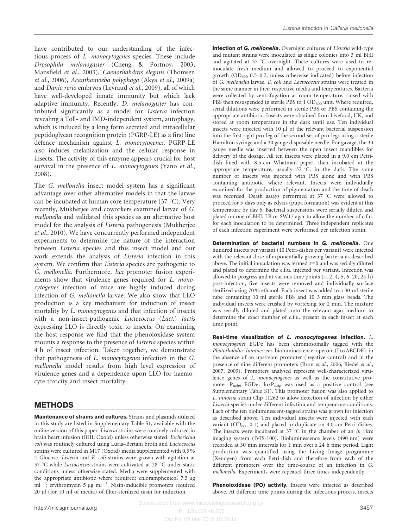have contributed to our understanding of the infectious process of L. monocytogenes species. These include Drosophila melanogaster ([Cheng & Portnoy, 2003;](#page-11-0) [Mansfield](#page-11-0) et al., 2003), Caenorhabditis elegans [\(Thomsen](#page-12-0) et al.[, 2006](#page-12-0)), Acanthamoeba polyphaga (Akya et al.[, 2009a](#page-10-0)) and Danio rerio embryos ([Levraud](#page-11-0) et al., 2009), all of which have well-developed innate immunity but which lack adaptive immunity. Recently, D. melanogaster has contributed significantly as a model for Listeria infection revealing a Toll- and IMD-independent system, autophagy, which is induced by a long form secreted and intracellular peptidoglycan recognition protein (PGRP-LE) as a first line defence mechanism against L. monocytogenes. PGRP-LE also induces melanization and the cellular response in insects. The activity of this enzyme appears crucial for host survival in the presence of *L. monocytogenes* [\(Yano](#page-12-0) *et al.*, [2008\)](#page-12-0).

The G. mellonella insect model system has a significant advantage over other alternative models in that the larvae can be incubated at human core temperature  $(37 \degree C)$ . Very recently, Mukherjee and coworkers examined larvae of G. mellonella and validated this species as an alternative host model for the analysis of Listeria pathogenesis ([Mukherjee](#page-11-0) et al.[, 2010\)](#page-11-0). We have concurrently performed independent experiments to determine the nature of the interaction between Listeria species and this insect model and our work extends the analysis of Listeria infection in this system. We confirm that Listeria species are pathogenic to G. mellonella. Furthermore, lux promoter fusion experiments show that virulence genes required for L. monocytogenes infection of mice are highly induced during infection of G. mellonella larvae. We also show that LLO production is a key mechanism for induction of insect mortality by L. monocytogenes and that infection of insects with a non-insect-pathogenic Lactococcus (Lact.) lactis expressing LLO is directly toxic to insects. On examining the host response we find that the phenoloxidase system mounts a response to the presence of Listeria species within 4 h of insect infection. Taken together, we demonstrate that pathogenesis of L. monocytogenes infection in the G. mellonella model results from high level expression of virulence genes and a dependence upon LLO for haemocyte toxicity and insect mortality.

# METHODS

Maintenance of strains and cultures. Strains and plasmids utilized in this study are listed in Supplementary Table S1, available with the online version of this paper. Listeria strains were routinely cultured in brain heart infusion (BHI; Oxoid) unless otherwise stated. Escherichia coli was routinely cultured using Luria–Bertani broth and Lactococcus strains were cultured in M17 (Oxoid) media supplemented with 0.5 % D-Glucose. Listeria and E. coli strains were grown with agitation at 37 °C while Lactococcus strains were cultivated at 28 °C under static conditions unless otherwise stated. Media were supplemented with the appropriate antibiotic where required; chloramphenicol 7.5 µg  $ml^{-1}$ ; erythromycin 5 µg ml<sup>-1</sup>. Nisin-inducible promoters required 20 µl (for 10 ml of media) of filter-sterilized nisin for induction.

Infection of G. mellonella. Overnight cultures of Listeria wild-type and mutant strains were inoculated as single colonies into 3 ml BHI and agitated at  $37 \text{ °C}$  overnight. These cultures were used to reinoculate fresh medium and allowed to proceed to exponential growth  $OD_{600}$  0.5–0.7, unless otherwise indicated) before infection of G. mellonella larvae. E. coli and Lactococcus strains were treated in the same manner in their respective media and temperatures. Bacteria were collected by centrifugation at room temperature, rinsed with PBS then resuspended in sterile PBS to  $1 O D_{600}$  unit. Where required, serial dilutions were performed in sterile PBS or PBS containing the appropriate antibiotic. Insects were obtained from Livefood, UK, and stored at room temperature in the dark until use. Ten individual insects were injected with 10 µl of the relevant bacterial suspension into the first right pro-leg of the second set of pro-legs using a sterile Hamilton syringe and a 30 gauge disposable needle. For gavage, the 30 gauge needle was inserted between the open insect mandibles for delivery of the dosage. All ten insects were placed in a 9.0 cm Petridish lined with 8.5 cm Whatman paper, then incubated at the appropriate temperature, usually  $37^{\circ}$ C, in the dark. The same number of insects was injected with PBS alone and with PBS containing antibiotic where relevant. Insects were individually examined for the production of pigmentation and the time of death was recorded. Death assays performed at 37 °C were allowed to proceed for 5 days only as edycis (pupa formation) was evident at this temperature by day 6. Bacterial suspensions were serially diluted and plated on one of BHI, LB or SW17 agar to allow the number of c.f.u. for each inoculation to be determined. Three independent replicates of each infection experiment were performed per infection strain.

Determination of bacterial numbers in G. mellonella. One hundred insects per variant (10 Petri-dishes per variant) were injected with the relevant dose of exponentially growing bacteria as described above. The initial inoculation was termed  $t=0$  and was serially diluted and plated to determine the c.f.u. injected per variant. Infection was allowed to progress and at various time points (1, 2, 4, 5, 6, 20, 24 h) post-infection, five insects were removed and individually surface sterilized using 70 % ethanol. Each insect was added to a 30 ml sterile tube containing 10 ml sterile PBS and 10 3 mm glass beads. The individual insects were crushed by vortexing for 2 min. The mixture was serially diluted and plated onto the relevant agar medium to determine the exact number of c.f.u. present in each insect at each time point.

Real-time visualization of L. monocytogenes infection. L. monocytogenes EGDe has been chromosomally tagged with the Photorhabdus luminescens bioluminescence operon (LuxABCDE) in the absence of an upstream promoter (negative control) and in the presence of nine different promoters (Bron et al.[, 2006](#page-10-0); [Riedel](#page-11-0) et al., [2007](#page-11-0), [2009](#page-11-0)). Promoters analysed represent well-characterized virulence genes of L. monocytogenes as well as the constitutive promoter  $P_{help}$ ; EGDe :: lux $P_{help}$  was used as a positive control (see Supplementary Table S1). This promoter fusion was also applied to L. innocua strain Clip 11262 to allow detection of infection by either Listeria species under different infection and temperature conditions. Each of the ten bioluminescent-tagged strains was grown for injection as described above. Ten individual insects were injected with each variant  $OD_{600}$  0.1) and placed in duplicate on 4.0 cm Petri-dishes. The insects were incubated at  $37^{\circ}$ C in the chamber of an in vitro imaging system (IVIS-100). Bioluminescence levels (490 nm) were recorded at 30 min intervals for 1 min over a 24 h time period. Light production was quantified using the Living Image programme (Xenogen) from each Petri-dish and therefore from each of the different promoters over the time-course of an infection in G. mellonella. Experiments were repeated three times independently.

Phenoloxidase (PO) activity. Insects were infected as described above. At different time points during the infectious process, insects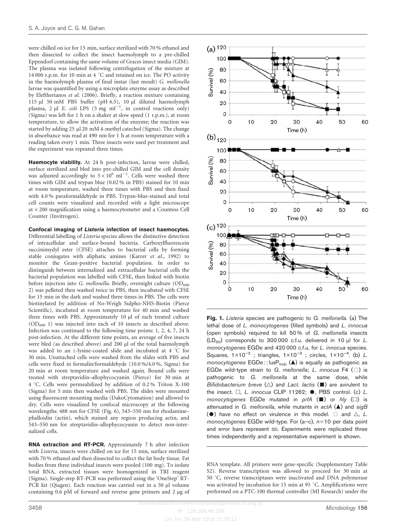<span id="page-2-0"></span>were chilled on ice for 15 min, surface sterilized with 70 % ethanol and then dissected to collect the insect haemolymph to a pre-chilled Eppendorf containing the same volume of Graces insect media (GIM). The plasma was isolated following centrifugation of the mixture at 14 000 r.p.m. for 10 min at 4  $^{\circ}$ C and retained on ice. The PO activity in the haemolymph plasma of final instar (last moult) G. mellonella larvae was quantified by using a microplate enzyme assay as described by [Eleftherianos](#page-11-0) et al. (2006). Briefly, a reaction mixture containing 115 µl 50 mM PBS buffer (pH 6.5), 10 µl diluted haemolymph plasma, 2 µl *E. coli* LPS (5 mg ml<sup>-1</sup>, in control reactions only) (Sigma) was left for 1 h on a shaker at slow speed (1 r.p.m.), at room temperature, to allow the activation of the enzyme; the reaction was started by adding 25 µl 20 mM 4-methyl catechol (Sigma). The change in absorbance was read at 490 nm for 1 h at room temperature with a reading taken every 1 min. Three insects were used per treatment and the experiment was repeated three times.

Haemocyte viability. At 24 h post-infection, larvae were chilled, surface sterilized and bled into pre-chilled GIM and the cell density was adjusted accordingly to  $5 \times 10^6$  ml<sup>-1</sup>. Cells were washed three times with GIM and trypan blue (0.02 % in PBS) stained for 10 min at room temperature, washed three times with PBS and then fixed with 4.0 % paraformaldehyde in PBS. Trypan-blue-stained and total cell counts were visualized and recorded with a light microscope at  $\times$  200 magnification using a haemocytometer and a Countess Cell Counter (Invitrogen).

Confocal imaging of Listeria infection of insect haemocytes. Differential labelling of Listeria species allows the distinctive detection of intracellular and surface-bound bacteria. Carboxylfluorescein succinimydyl ester (CFSE) attaches to bacterial cells by forming stable conjugates with aliphatic amines (Karrer et al.[, 1992](#page-11-0)) to monitor the Gram-positive bacterial population. In order to distinguish between internalized and extracellular bacterial cells the bacterial population was labelled with CFSE, then linked with biotin before injection into G. mellonella. Briefly, overnight culture  $OD<sub>600</sub>$ 2) was pelleted then washed twice in PBS, then incubated with CFSE for 15 min in the dark and washed three times in PBS. The cells were biotinylated by addition of No-Weigh Sulpho-NHS-Biotin (Pierce Scientific), incubated at room temperature for 40 min and washed three times with PBS. Approximately 10 µl of each treated culture  $(OD<sub>600</sub> 1)$  was injected into each of 10 insects as described above. Infection was continued to the following time points: 1, 2, 4, 7, 24 h post-infection. At the different time points, an average of five insects were bled (as described above) and 200 µl of the total haemolymph was added to an L-lysine-coated slide and incubated at  $4 °C$  for 30 min. Unattached cells were washed from the slides with PBS and cells were fixed in formalin/formaldehyde (10.0 %/4.0 %, Sigma) for 20 min at room temperature and washed again. Bound cells were treated with streptavidin–allophycocyanin (Pierce) for 30 min at 4 °C. Cells were permeabilized by addition of 0.2% Triton X-100 (Sigma) for 5 min then washed with PBS. The slides were mounted using fluorescent mounting media (DakoCytomation) and allowed to dry. Cells were visualized by confocal microscopy at the following wavelengths: 488 nm for CFSE ([Fig. 6\)](#page-8-0), 543–550 nm for rhodamine– phalloidin (actin), which stained any region producing actin, and 543–550 nm for streptavidin–allophycocyanin to detect non-internalized cells.

RNA extraction and RT-PCR. Approximately 7 h after infection with *Listeria*, insects were chilled on ice for 15 min, surface sterilized with 70 % ethanol and then dissected to collect the fat body tissue. Fat bodies from three individual insects were pooled (100 mg). To isolate total RNA, extracted tissues were homogenized in TRI reagent (Sigma). Single-step RT-PCR was performed using the 'OneStep' RT-PCR kit (Qiagen). Each reaction was carried out in a 50 µl volume containing  $0.6$  pM of forward and reverse gene primers and  $2 \mu$ g of



Fig. 1. Listeria species are pathogenic to G. mellonella. (a) The lethal dose of L. monocytogenes (filled symbols) and L. innocua (open symbols) required to kill 50 % of G. mellonella insects  $(LD_{50})$  corresponds to 300 000 c.f.u. delivered in 10 µl for L. monocytogenes EGDe and 420 000 c.f.u. for L. innocua species. Squares,  $1 \times 10^{-2}$ ; triangles,  $1 \times 10^{-3}$ ; circles,  $1 \times 10^{-4}$ . (b) L. monocytogenes  $EGDe$ :: lux $P_{help} (\triangle)$  is equally as pathogenic as EGDe wild-type strain to G. mellonella; L. innocua F4  $( \circ )$  is pathogenic to G. mellonella at the same dose, while Bifidobacterium breve  $(\triangle)$  and Lact. lactis  $(\blacksquare)$  are avirulent to the insect.  $\Box$ , L. innocua CLIP 11262;  $\bullet$ , PBS control. (c) L. monocytogenes EGDe mutated in prfA  $(\blacksquare)$  or hly  $(\square)$  is attenuated in G. mellonella, while mutants in  $actA$  ( $\triangle$ ) and  $sigB$ ( $\bullet$ ) have no effect on virulence in this model.  $\circ$  and  $\triangle$ , L. monocytogenes EGDe wild-type. For  $(a-c)$ ,  $n=10$  per data point and error bars represent SD. Experiments were replicated three times independently and a representative experiment is shown.

RNA template. All primers were gene-specific (Supplementary Table S2). Reverse transcription was allowed to proceed for 30 min at 50 °C, reverse transcriptases were inactivated and DNA polymerase was activated by incubation for 15 min at 95 °C. Amplifications were performed on a PTC-100 thermal controller (MJ Research) under the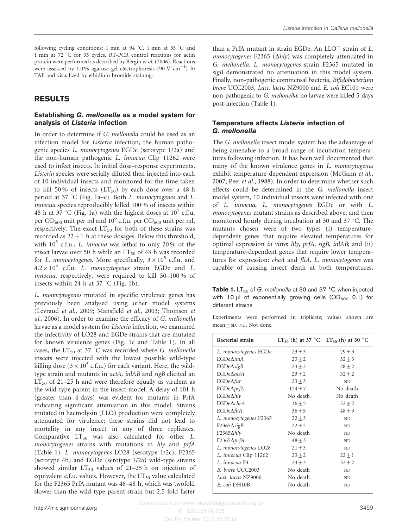<span id="page-3-0"></span>following cycling conditions: 1 min at 94 °C, 1 min at 55 °C and 1 min at 72 °C for 35 cycles. RT-PCR control reactions for actin protein were performed as described by Bergin et al. [\(2006\).](#page-10-0) Reactions were assessed by 1.0% agarose gel electrophoresis (90 V  $\rm cm^{-1})$  in TAE and visualized by ethidium bromide staining.

# RESULTS

### Establishing G. mellonella as a model system for analysis of Listeria infection

In order to determine if G. mellonella could be used as an infection model for Listeria infection, the human pathogenic species L. monocytogenes EGDe (serotype 1/2a) and the non-human pathogenic L. innocua Clip 11262 were used to infect insects. In initial dose–response experiments, Listeria species were serially diluted then injected into each of 10 individual insects and monitored for the time taken to kill 50% of insects  $(LT_{50})$  by each dose over a 48 h period at 37 °C [\(Fig. 1a–c](#page-2-0)). Both L. monocytogenes and L. innocua species reproducibly killed 100 % of insects within 48 h at 37 °C [\(Fig. 1a](#page-2-0)) with the highest doses at  $10^7$  c.f.u. per OD<sub>600</sub> unit per ml and 10<sup>6</sup> c.f.u. per OD<sub>600</sub> unit per ml, respectively. The exact  $LT_{50}$  for both of these strains was recorded as  $22 \pm 1$  h at these dosages. Below this threshold, with  $10^5$  c.f.u., L. innocua was lethal to only 20% of the insect larvae over 50 h while an  $LT_{50}$  of 43 h was recorded for L. monocytogenes. More specifically,  $3 \times 10^5$  c.f.u. and  $4.2 \times 10^5$  c.f.u. L. monocytogenes strain EGDe and L. innocua, respectively, were required to kill 50–100 % of insects within 24 h at 37  $°C$  [\(Fig. 1b](#page-2-0)).

L. monocytogenes mutated in specific virulence genes has previously been analysed using other model systems ([Levraud](#page-11-0) et al., 2009; [Mansfield](#page-11-0) et al., 2003; [Thomsen](#page-12-0) et al.[, 2006\)](#page-12-0). In order to examine the efficacy of G. mellonella larvae as a model system for Listeria infection, we examined the infectivity of LO28 and EGDe strains that are mutated for known virulence genes [\(Fig. 1c](#page-2-0) and Table 1). In all cases, the LT<sub>50</sub> at 37 °C was recorded where G. mellonella insects were injected with the lowest possible wild-type killing dose ( $3 \times 10^5$  c.f.u.) for each variant. Here, the wildtype strain and mutants in actA, inlAB and sigB elicited an  $LT_{50}$  of 21–25 h and were therefore equally as virulent as the wild-type parent in the insect model. A delay of 101 h (greater than 4 days) was evident for mutants in PrfA indicating significant attenuation in this model. Strains mutated in haemolysin (LLO) production were completely attenuated for virulence; these strains did not lead to mortality in any insect in any of three replicates. Comparative  $LT_{50}$  was also calculated for other L. monocytogenes strains with mutations in hly and prfA (Table 1). L. monocytogenes LO28 (serotype 1/2c), F2365 (serotype 4b) and EGDe (serotype 1/2a) wild-type strains showed similar  $LT_{50}$  values of 21–25 h on injection of equivalent c.f.u. values. However, the  $LT_{50}$  value calculated for the F2365 PrfA mutant was 46–48 h, which was twofold slower than the wild-type parent strain but 2.5-fold faster

than a PrfA mutant in strain EGDe. An  $LLO^-$  strain of L. *monocytogenes* F2365 ( $\Delta hly$ ) was completely attenuated in G. mellonella. L. monocytogenes strain F2365 mutated in sigB demonstrated no attenuation in this model system. Finally, non-pathogenic commensal bacteria, Bifidobacterium breve UCC2003, Lact. lactis NZ9000 and E. coli EC101 were non-pathogenic to G. mellonella; no larvae were killed 5 days post-injection (Table 1).

## Temperature affects Listeria infection of G. mellonella

The G. mellonella insect model system has the advantage of being amenable to a broad range of incubation temperatures following infection. It has been well documented that many of the known virulence genes in L. monocytogenes exhibit temperature-dependent expression ([McGann](#page-11-0) et al., [2007;](#page-11-0) Peel et al.[, 1988\)](#page-11-0). In order to determine whether such effects could be determined in the G. mellonella insect model system, 10 individual insects were infected with one of L. innocua, L. monocytogenes EGDe or with L. monocytogenes mutant strains as described above, and then monitored hourly during incubation at 30 and 37 °C. The mutants chosen were of two types (i) temperaturedependent genes that require elevated temperatures for optimal expression in vitro: hly, prfA, sigB, inlAB; and (ii) temperature-dependent genes that require lower temperatures for expression: cheA and fliA. L. monocytogenes was capable of causing insect death at both temperatures,

Table 1.  $LT_{50}$  of G. mellonella at 30 and 37 °C when injected with 10  $\mu$ l of exponentially growing cells (OD<sub>600</sub> 0.1) for different strains

Experiments were performed in triplicate; values shown are mean  $\pm$  SD. ND, Not done.

| <b>Bacterial strain</b> | LT <sub>50</sub> (h) at 37 °C LT <sub>50</sub> (h) at 30 °C |            |
|-------------------------|-------------------------------------------------------------|------------|
| L. monocytogenes EGDe   | $23 \pm 3$                                                  | $29 + 3$   |
| <b>EGDeAinlA</b>        | $23 + 2$                                                    | $32 + 3$   |
| $EGDe\Delta sigB$       | $23 + 2$                                                    | $28 + 2$   |
| <b>EGDeAactA</b>        | $23 + 2$                                                    | $32 + 2$   |
| $EGDe\Delta fur$        | $23 \pm 3$                                                  | ND         |
| EGDe∆prfA               | $124 + 7$                                                   | No death   |
| $EGDe\Delta hly$        | No death                                                    | No death   |
| <b>EGDeAcheA</b>        | $36 \pm 5$                                                  | $32 + 2$   |
| $EGDe\Delta filiA$      | $36 + 5$                                                    | $48 \pm 3$ |
| L. monocytogenes F2365  | $22 \pm 3$                                                  | ND.        |
| $F2365\Delta sigB$      | $22 + 2$                                                    | ND         |
| $F2365\Delta hly$       | No death                                                    | ND.        |
| $F2365\Delta p r f A$   | $48 + 3$                                                    | ND         |
| L. monocytogenes LO28   | $21 \pm 3$                                                  | ND         |
| L. innocua Clip 11262   | $23 + 2$                                                    | $22 \pm 1$ |
| L. innocua F4           | $23 + 3$                                                    | $32 + 2$   |
| B. breve UCC2003        | No death                                                    | ND         |
| Lact. lactis NZ9000     | No death                                                    | ND         |
| E. coli DH10B           | No death                                                    | ND         |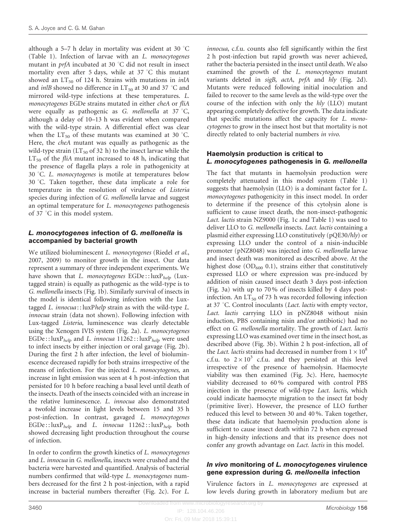although a 5–7 h delay in mortality was evident at 30  $^{\circ}$ C [\(Table 1](#page-3-0)). Infection of larvae with an L. monocytogenes mutant in  $prfA$  incubated at 30 °C did not result in insect mortality even after 5 days, while at  $37 \degree C$  this mutant showed an  $LT_{50}$  of 124 h. Strains with mutations in *inlA* and *inlB* showed no difference in  $LT_{50}$  at 30 and 37 °C and mirrored wild-type infections at these temperatures. L. monocytogenes EGDe strains mutated in either cheA or fliA were equally as pathogenic as G. mellonella at 37 °C, although a delay of 10–13 h was evident when compared with the wild-type strain. A differential effect was clear when the  $LT_{50}$  of these mutants was examined at 30 °C. Here, the cheA mutant was equally as pathogenic as the wild-type strain  $(LT_{50}$  of 32 h) to the insect larvae while the  $LT_{50}$  of the *fliA* mutant increased to 48 h, indicating that the presence of flagella plays a role in pathogenicity at 30 °C. L. monocytogenes is motile at temperatures below 30 °C. Taken together, these data implicate a role for temperature in the resolution of virulence of Listeria species during infection of G. mellonella larvae and suggest an optimal temperature for L. monocytogenes pathogenesis of 37 °C in this model system.

#### L. monocytogenes infection of G. mellonella is accompanied by bacterial growth

We utilized bioluminescent *L. monocytogenes* ([Riedel](#page-11-0) et al., [2007](#page-11-0), [2009\)](#page-11-0) to monitor growth in the insect. Our data represent a summary of three independent experiments. We have shown that L. monocytogenes  $EGDe::luxP_{help}$  (Luxtagged strain) is equally as pathogenic as the wild-type is to G. mellonella insects ([Fig. 1b](#page-2-0)). Similarly survival of insects in the model is identical following infection with the Luxtagged L. innocua:: luxPhelp strain as with the wild-type L. innocua strain (data not shown). Following infection with Lux-tagged Listeria, luminescence was clearly detectable using the Xenogen IVIS system [\(Fig. 2a](#page-5-0)). L. monocytogenes EGDe :: luxP<sub>help</sub> and L. innocua  $11262$  :: luxP<sub>help</sub> were used to infect insects by either injection or oral gavage [\(Fig. 2b](#page-5-0)). During the first 2 h after infection, the level of bioluminescence decreased rapidly for both strains irrespective of the means of infection. For the injected L. monocytogenes, an increase in light emission was seen at 4 h post-infection that persisted for 10 h before reaching a basal level until death of the insects. Death of the insects coincided with an increase in the relative luminescence. L. innocua also demonstrated a twofold increase in light levels between 15 and 35 h post-infection. In contrast, gavaged L. monocytogenes  $EGDe::luxP_{help}$  and L. innocua  $11262::luxP_{help}$  both showed decreasing light production throughout the course of infection.

In order to confirm the growth kinetics of L. monocytogenes and L. innocua in G. mellonella, insects were crushed and the bacteria were harvested and quantified. Analysis of bacterial numbers confirmed that wild-type L. monocytogenes numbers decreased for the first 2 h post-injection, with a rapid increase in bacterial numbers thereafter ([Fig. 2c\)](#page-5-0). For L.

innocua, c.f.u. counts also fell significantly within the first 2 h post-infection but rapid growth was never achieved, rather the bacteria persisted in the insect until death. We also examined the growth of the L. monocytogenes mutant variants deleted in sigB, actA, prfA and hly ([Fig. 2d](#page-5-0)). Mutants were reduced following initial inoculation and failed to recover to the same levels as the wild-type over the course of the infection with only the hly (LLO) mutant appearing completely defective for growth. The data indicate that specific mutations affect the capacity for L. monocytogenes to grow in the insect host but that mortality is not directly related to only bacterial numbers in vivo.

#### Haemolysin production is critical to L. monocytogenes pathogenesis in G. mellonella

The fact that mutants in haemolysin production were completely attenuated in this model system ([Table 1\)](#page-3-0) suggests that haemolysin (LLO) is a dominant factor for L. monocytogenes pathogenicity in this insect model. In order to determine if the presence of this cytolysin alone is sufficient to cause insect death, the non-insect-pathogenic Lact. lactis strain NZ9000 ([Fig. 1c](#page-2-0) and [Table 1](#page-3-0)) was used to deliver LLO to G. mellonella insects. Lact. lactis containing a plasmid either expressing LLO constitutively (pQE30/hly) or expressing LLO under the control of a nisin-inducible promoter (pNZ8048) was injected into G. mellonella larvae and insect death was monitored as described above. At the highest dose ( $OD_{600}$  0.1), strains either that constitutively expressed LLO or where expression was pre-induced by addition of nisin caused insect death 3 days post-infection [\(Fig. 3a](#page-6-0)) with up to 70 % of insects killed by 4 days postinfection. An  $LT_{50}$  of 73 h was recorded following infection at 37  $\degree$ C. Control inoculants (Lact. lactis with empty vector, Lact. lactis carrying LLO in pNZ8048 without nisin induction, PBS containing nisin and/or antibiotic) had no effect on G. mellonella mortality. The growth of Lact. lactis expressing LLO was examined over time in the insect host, as described above [\(Fig. 3b\)](#page-6-0). Within 2 h post-infection, all of the Lact. lactis strains had decreased in number from  $1 \times 10^8$ c.f.u. to  $2 \times 10^3$  c.f.u. and they persisted at this level irrespective of the presence of haemolysin. Haemocyte viability was then examined [\(Fig. 3c](#page-6-0)). Here, haemocyte viability decreased to 60 % compared with control PBS injection in the presence of wild-type Lact. lactis, which could indicate haemocyte migration to the insect fat body (primitive liver). However, the presence of LLO further reduced this level to between 30 and 40 %. Taken together, these data indicate that haemolysin production alone is sufficient to cause insect death within 72 h when expressed in high-density infections and that its presence does not confer any growth advantage on *Lact. lactis* in this model.

#### In vivo monitoring of L. monocytogenes virulence gene expression during G. mellonella infection

Virulence factors in L. monocytogenes are expressed at low levels during growth in laboratory medium but are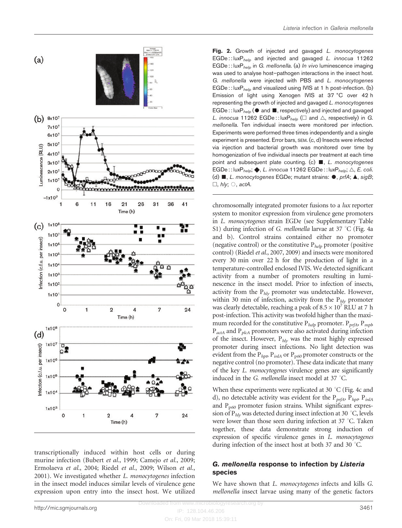<span id="page-5-0"></span>

transcriptionally induced within host cells or during murine infection [\(Bubert](#page-10-0) et al., 1999; [Camejo](#page-11-0) et al., 2009; [Ermolaeva](#page-11-0) et al., 2004; Riedel et al.[, 2009](#page-11-0); [Wilson](#page-12-0) et al., [2001\)](#page-12-0). We investigated whether L. monocytogenes infection in the insect model induces similar levels of virulence gene expression upon entry into the insect host. We utilized

Fig. 2. Growth of injected and gavaged *L. monocytogenes*  $EGDe$ :: lux $P_{help}$  and injected and gavaged *L. innocua* 11262  $EGDe$ :: lux $P_{help}$  in G. mellonella. (a) In vivo luminescence imaging was used to analyse host–pathogen interactions in the insect host. G. mellonella were injected with PBS and L. monocytogenes  $EGDe::luxP<sub>helo</sub>$  and visualized using IVIS at 1 h post-infection. (b) Emission of light using Xenogen IVIS at 37 °C over 42 h representing the growth of injected and gavaged L. monocytogenes EGDe :: lux $P_{help}$  ( $\bullet$  and  $\blacksquare$ , respectively) and injected and gavaged L. innocua 11262 EGDe:: luxP<sub>help</sub> ( $\Box$  and  $\triangle$ , respectively) in G. mellonella. Ten individual insects were monitored per infection. Experiments were performed three times independently and a single experiment is presented. Error bars, SEM. (c, d) Insects were infected via injection and bacterial growth was monitored over time by homogenization of five individual insects per treatment at each time point and subsequent plate counting. (c)  $\blacksquare$ , L. monocytogenes EGDe : : luxP<sub>help</sub>;  $\blacklozenge$ , *L. innocua* 11262 EGDe : : luxP<sub>help</sub>;  $\triangle$ , *E. coli.* (d)  $\blacksquare$ , L. monocytogenes EGDe; mutant strains:  $\lozenge$ , prfA;  $\blacktriangle$ , sigB;  $\Box$ , hly;  $\bigcirc$ , actA.

chromosomally integrated promoter fusions to a lux reporter system to monitor expression from virulence gene promoters in L. monocytogenes strain EGDe (see Supplementary Table S1) during infection of G. mellonella larvae at  $37 \degree C$  ([Fig. 4a](#page-7-0) [and b](#page-7-0)). Control strains contained either no promoter (negative control) or the constitutive  $P_{help}$  promoter (positive control) [\(Riedel](#page-11-0) et al., 2007, [2009](#page-11-0)) and insects were monitored every 30 min over 22 h for the production of light in a temperature-controlled enclosed IVIS. We detected significant activity from a number of promoters resulting in luminescence in the insect model. Prior to infection of insects, activity from the  $P_{hly}$  promoter was undetectable. However, within 30 min of infection, activity from the  $P_{hly}$  promoter was clearly detectable, reaching a peak of  $8.5 \times 10^7$  RLU at 7 h post-infection. This activity was twofold higher than the maximum recorded for the constitutive  $P_{help}$  promoter.  $P_{prfA}$ ,  $P_{mph}$  $P_{actA}$  and  $P_{plcA}$  promoters were also activated during infection of the insect. However,  $P_{hly}$  was the most highly expressed promoter during insect infections. No light detection was evident from the  $P_{hpp}$ ,  $P_{inlA}$  or  $P_{p60}$  promoter constructs or the negative control (no promoter). These data indicate that many of the key L. monocytogenes virulence genes are significantly induced in the G. mellonella insect model at 37  $^{\circ}$ C.

When these experiments were replicated at 30  $\degree$ C ([Fig. 4c and](#page-7-0) [d\)](#page-7-0), no detectable activity was evident for the  $P_{prfA}$ ,  $P_{hpP}$ ,  $P_{inIA}$ and  $P_{p60}$  promoter fusion strains. Whilst significant expression of  $P_{hlv}$  was detected during insect infection at 30 °C, levels were lower than those seen during infection at  $37 \degree C$ . Taken together, these data demonstrate strong induction of expression of specific virulence genes in L. monocytogenes during infection of the insect host at both 37 and 30  $^{\circ}$ C.

#### G. mellonella response to infection by Listeria species

We have shown that *L. monocytogenes* infects and kills *G.* mellonella insect larvae using many of the genetic factors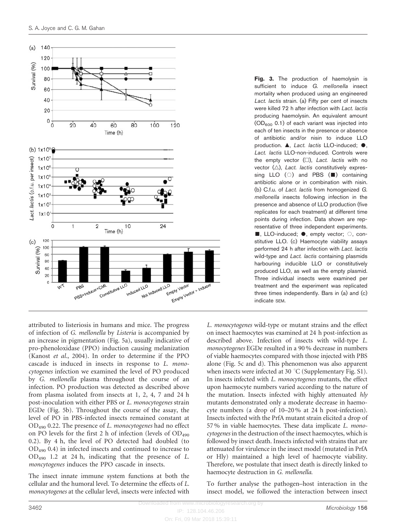<span id="page-6-0"></span>

attributed to listeriosis in humans and mice. The progress of infection of G. mellonella by Listeria is accompanied by an increase in pigmentation ([Fig. 5a\)](#page-7-0), usually indicative of pro-phenoloxidase (PPO) induction causing melanization [\(Kanost](#page-11-0) et al., 2004). In order to determine if the PPO cascade is induced in insects in response to L. monocytogenes infection we examined the level of PO produced by G. mellonella plasma throughout the course of an infection. PO production was detected as described above from plasma isolated from insects at 1, 2, 4, 7 and 24 h post-inoculation with either PBS or L. monocytogenes strain EGDe ([Fig. 5b\)](#page-7-0). Throughout the course of the assay, the level of PO in PBS-infected insects remained constant at  $OD_{490}$  0.22. The presence of L. monocytogenes had no effect on PO levels for the first 2 h of infection (levels of  $OD_{490}$ 0.2). By 4 h, the level of PO detected had doubled (to OD490 0.4) in infected insects and continued to increase to OD490 1.2 at 24 h, indicating that the presence of L. moncytogenes induces the PPO cascade in insects.

The insect innate immune system functions at both the cellular and the humoral level. To determine the effects of L. monocytogenes at the cellular level, insects were infected with Fig. 3. The production of haemolysin is sufficient to induce G. mellonella insect mortality when produced using an engineered Lact. lactis strain. (a) Fifty per cent of insects were killed 72 h after infection with Lact. lactis producing haemolysin. An equivalent amount  $(OD<sub>600</sub> 0.1)$  of each variant was injected into each of ten insects in the presence or absence of antibiotic and/or nisin to induce LLO production.  $\blacktriangle$ , Lact. lactis LLO-induced;  $\blacklozenge$ , Lact. lactis LLO-non-induced. Controls were the empty vector  $(\square)$ . Lact. lactis with no vector  $(\triangle)$ , Lact. lactis constitutively expressing LLO  $( \circ )$  and PBS ( $\blacksquare$ ) containing antibiotic alone or in combination with nisin. (b) C.f.u. of Lact. lactis from homogenized G. mellonella insects following infection in the presence and absence of LLO production (five replicates for each treatment) at different time points during infection. Data shown are representative of three independent experiments.  $\blacksquare$ , LLO-induced;  $\lozenge$ , empty vector;  $\bigcirc$ , constitutive LLO. (c) Haemocyte viability assays performed 24 h after infection with Lact. lactis wild-type and Lact. lactis containing plasmids harbouring inducible LLO or constitutively produced LLO, as well as the empty plasmid. Three individual insects were examined per treatment and the experiment was replicated three times independently. Bars in (a) and (c) indicate SEM.

L. monocytogenes wild-type or mutant strains and the effect on insect haemocytes was examined at 24 h post-infection as described above. Infection of insects with wild-type L. monocytogenes EGDe resulted in a 90 % decrease in numbers of viable haemocytes compared with those injected with PBS alone [\(Fig. 5c and d](#page-7-0)). This phenomenon was also apparent when insects were infected at 30  $^{\circ}$ C (Supplementary Fig. S1). In insects infected with L. monocytogenes mutants, the effect upon haemocyte numbers varied according to the nature of the mutation. Insects infected with highly attenuated hly mutants demonstrated only a moderate decrease in haemocyte numbers (a drop of 10–20 % at 24 h post-infection). Insects infected with the PrfA mutant strain elicited a drop of 57 % in viable haemocytes. These data implicate L. monocytogenes in the destruction of the insect haemocytes, which is followed by insect death. Insects infected with strains that are attenuated for virulence in the insect model (mutated in PrfA or Hly) maintained a high level of haemocyte viability. Therefore, we postulate that insect death is directly linked to haemocyte destruction in G. mellonella.

To further analyse the pathogen–host interaction in the insect model, we followed the interaction between insect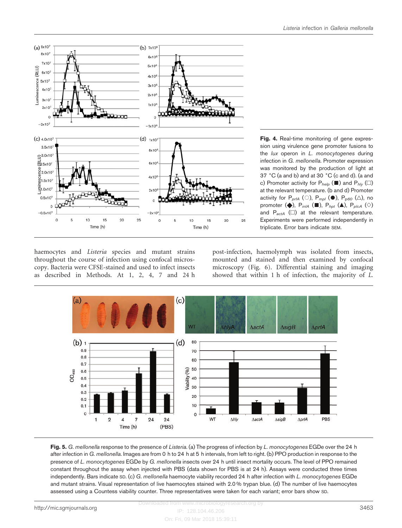<span id="page-7-0"></span>

Fig. 4. Real-time monitoring of gene expression using virulence gene promoter fusions to the *lux* operon in *L. monocytogenes* during infection in G. mellonella. Promoter expression was monitored by the production of light at 37  $^{\circ}$ C (a and b) and at 30  $^{\circ}$ C (c and d). (a and c) Promoter activity for  $P_{help}$  ( $\blacksquare$ ) and  $P_{hly}$  ( $\Box$ ) at the relevant temperature. (b and d) Promoter activity for  $P_{prA}$  (0),  $P_{mpl}$  ( $\bullet$ ),  $P_{p60}$  ( $\triangle$ ), no promoter ( $\blacklozenge$ ), P<sub>inlA</sub> ( $\blacksquare$ ), P<sub>hpt</sub> ( $\blacktriangle$ ), P<sub>plcA</sub> ( $\diamond$ ) and  $P_{actA}$  ( $\square$ ) at the relevant temperature. Experiments were performed independently in triplicate. Error bars indicate SEM.

haemocytes and *Listeria* species and mutant strains throughout the course of infection using confocal microscopy. Bacteria were CFSE-stained and used to infect insects as described in Methods. At 1, 2, 4, 7 and 24 h

post-infection, haemolymph was isolated from insects, mounted and stained and then examined by confocal microscopy [\(Fig. 6\)](#page-8-0). Differential staining and imaging showed that within 1 h of infection, the majority of L.



Fig. 5. G. mellonella response to the presence of Listeria. (a) The progress of infection by L. monocytogenes EGDe over the 24 h after infection in G. mellonella. Images are from 0 h to 24 h at 5 h intervals, from left to right. (b) PPO production in response to the presence of L. monocytogenes EGDe by G. mellonella insects over 24 h until insect mortality occurs. The level of PPO remained constant throughout the assay when injected with PBS (data shown for PBS is at 24 h). Assays were conducted three times independently. Bars indicate SD. (c) G. mellonella haemocyte viability recorded 24 h after infection with L. monocytogenes EGDe and mutant strains. Visual representation of live haemocytes stained with 2.0 % trypan blue. (d) The number of live haemocytes assessed using a Countess viability counter. Three representatives were taken for each variant; error bars show SD.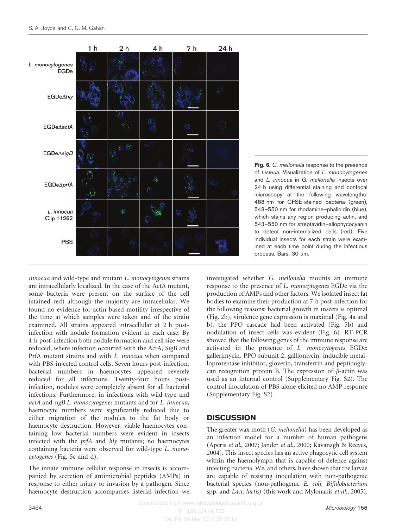<span id="page-8-0"></span>

Fig. 6. G. mellonella response to the presence of Listeria. Visualization of L. monocytogenes and L. innocua in G. mellonella insects over 24 h using differential staining and confocal microscopy at the following wavelengths: 488 nm for CFSE-stained bacteria (green), 543–550 nm for rhodamine–phalloidin (blue), which stains any region producing actin, and 543–550 nm for streptavidin–allophycocyanin to detect non-internalized cells (red). Five individual insects for each strain were examined at each time point during the infectious process. Bars, 30 µm.

innocua and wild-type and mutant L. monocytogenes strains are intracellularly localized. In the case of the ActA mutant, some bacteria were present on the surface of the cell (stained red) although the majority are intracellular. We found no evidence for actin-based motility irrespective of the time at which samples were taken and of the strain examined. All strains appeared intracellular at 2 h postinfection with nodule formation evident in each case. By 4 h post-infection both nodule formation and cell size were reduced, where infection occurred with the ActA, SigB and PrfA mutant strains and with L. innocua when compared with PBS-injected control cells. Seven hours post-infection, bacterial numbers in haemocytes appeared severely reduced for all infections. Twenty-four hours postinfection, nodules were completely absent for all bacterial infections. Furthermore, in infections with wild-type and actA and sigB L. monocytogenes mutants and for L. innocua, haemocyte numbers were significantly reduced due to either migration of the nodules to the fat body or haemocyte destruction. However, viable haemocytes containing low bacterial numbers were evident in insects infected with the prfA and hly mutants; no haemocytes containing bacteria were observed for wild-type L. monocytogenes [\(Fig. 5c](#page-7-0) and [d](#page-7-0)).

The innate immune cellular response in insects is accompanied by secretion of antimicrobial peptides (AMPs) in response to either injury or invasion by a pathogen. Since haemocyte destruction accompanies listerial infection we

investigated whether G. mellonella mounts an immune response to the presence of L. monocytogenes EGDe via the production of AMPs and other factors. We isolated insect fat bodies to examine their production at 7 h post-infection for the following reasons: bacterial growth in insects is optimal [\(Fig. 2b](#page-5-0)), virulence gene expression is maximal [\(Fig. 4a and](#page-7-0) [b](#page-7-0)), the PPO cascade had been activated [\(Fig. 5b](#page-7-0)) and nodulation of insect cells was evident (Fig. 6). RT-PCR showed that the following genes of the immune response are activated in the presence of L. monocytogenes EGDe: gallerimycin, PPO subunit 2, galliomycin, inducible metalloproteinase inhibitor, gloverin, transferrin and peptidoglycan recognition protein B. The expression of  $\beta$ -actin was used as an internal control (Supplementary Fig. S2). The control inoculation of PBS alone elicited no AMP response (Supplementary Fig. S2).

# **DISCUSSION**

The greater wax moth (G. mellonella) has been developed as an infection model for a number of human pathogens [\(Aperis](#page-10-0) et al., 2007; [Jander](#page-11-0) et al., 2000; [Kavanagh & Reeves,](#page-11-0) [2004](#page-11-0)). This insect species has an active phagocytic cell system within the haemolymph that is capable of defence against infecting bacteria. We, and others, have shown that the larvae are capable of resisting inoculation with non-pathogenic bacterial species (non-pathogenic E. coli, Bifidobacterium spp. and Lact. lactis) (this work and [Mylonakis](#page-11-0) et al., 2005).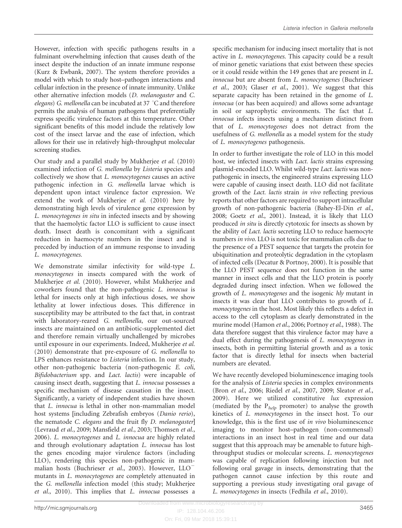However, infection with specific pathogens results in a fulminant overwhelming infection that causes death of the insect despite the induction of an innate immune response [\(Kurz & Ewbank, 2007](#page-11-0)). The system therefore provides a model with which to study host–pathogen interactions and cellular infection in the presence of innate immunity. Unlike other alternative infection models (D. melanogaster and C. elegans) G. mellonella can be incubated at 37  $\degree$ C and therefore permits the analysis of human pathogens that preferentially express specific virulence factors at this temperature. Other significant benefits of this model include the relatively low cost of the insect larvae and the ease of infection, which allows for their use in relatively high-throughput molecular screening studies.

Our study and a parallel study by [Mukherjee](#page-11-0) et al. (2010) examined infection of G. mellonella by Listeria species and collectively we show that L. monocytogenes causes an active pathogenic infection in G. mellonella larvae which is dependent upon intact virulence factor expression. We extend the work of [Mukherjee](#page-11-0) et al. (2010) here by demonstrating high levels of virulence gene expression by L. monocytogenes in situ in infected insects and by showing that the haemolytic factor LLO is sufficient to cause insect death. Insect death is concomitant with a significant reduction in haemocyte numbers in the insect and is preceded by induction of an immune response to invading L. monocytogenes.

We demonstrate similar infectivity for wild-type L. monocytogenes in insects compared with the work of [Mukherjee](#page-11-0) et al. (2010). However, whilst Mukherjee and coworkers found that the non-pathogenic L. innocua is lethal for insects only at high infectious doses, we show lethality at lower infectious doses. This difference in susceptibility may be attributed to the fact that, in contrast with laboratory-reared G. mellonella, our out-sourced insects are maintained on an antibiotic-supplemented diet and therefore remain virtually unchallenged by microbes until exposure in our experiments. Indeed, [Mukherjee](#page-11-0) et al. [\(2010\)](#page-11-0) demonstrate that pre-exposure of G. mellonella to LPS enhances resistance to Listeria infection. In our study, other non-pathogenic bacteria (non-pathogenic E. coli, Bifidobacterium spp. and Lact. lactis) were incapable of causing insect death, suggesting that L. innocua possesses a specific mechanism of disease causation in the insect. Significantly, a variety of independent studies have shown that L. innocua is lethal in other non-mammalian model host systems [including Zebrafish embryos (Danio rerio), the nematode C. elegans and the fruit fly D. melanogaster] ([Levraud](#page-11-0) et al., 2009; [Mansfield](#page-11-0) et al., 2003; [Thomsen](#page-12-0) et al., [2006\)](#page-12-0). L. monocytogenes and L. innocua are highly related and through evolutionary adaptation L. innocua has lost the genes encoding major virulence factors (including LLO), rendering this species non-pathogenic in mam-malian hosts [\(Buchrieser](#page-11-0) et al., 2003). However, LLO<sup>-</sup> mutants in L. monocytogenes are completely attenuated in the G. mellonella infection model (this study; [Mukherjee](#page-11-0) et al.[, 2010](#page-11-0)). This implies that L. innocua possesses a

specific mechanism for inducing insect mortality that is not active in L. monocytogenes. This capacity could be a result of minor genetic variations that exist between these species or it could reside within the 149 genes that are present in L. innocua but are absent from L. monocytogenes [\(Buchrieser](#page-11-0) et al.[, 2003;](#page-11-0) Glaser et al.[, 2001\)](#page-11-0). We suggest that this separate capacity has been retained in the genome of L. innocua (or has been acquired) and allows some advantage in soil or saprophytic environments. The fact that L. innocua infects insects using a mechanism distinct from that of L. monocytogenes does not detract from the usefulness of G. mellonella as a model system for the study of L. monocytogenes pathogenesis.

In order to further investigate the role of LLO in this model host, we infected insects with Lact. lactis strains expressing plasmid-encoded LLO. Whilst wild-type Lact. lactis was nonpathogenic in insects, the engineered strains expressing LLO were capable of causing insect death. LLO did not facilitate growth of the Lact. lactis strain in vivo reflecting previous reports that other factors are required to support intracellular growth of non-pathogenic bacteria ([Bahey-El-Din](#page-10-0) et al., [2008;](#page-10-0) Goetz et al.[, 2001\)](#page-11-0). Instead, it is likely that LLO produced in situ is directly cytotoxic for insects as shown by the ability of Lact. lactis secreting LLO to reduce haemocyte numbers *in vivo*. LLO is not toxic for mammalian cells due to the presence of a PEST sequence that targets the protein for ubiquitination and proteolytic degradation in the cytoplasm of infected cells ([Decatur & Portnoy, 2000\)](#page-11-0). It is possible that the LLO PEST sequence does not function in the same manner in insect cells and that the LLO protein is poorly degraded during insect infection. When we followed the growth of L. monocytogenes and the isogenic hly mutant in insects it was clear that LLO contributes to growth of L. monocytogenes in the host. Most likely this reflects a defect in access to the cell cytoplasm as clearly demonstrated in the murine model [\(Hamon](#page-11-0) et al., 2006; [Portnoy](#page-11-0) et al., 1988). The data therefore suggest that this virulence factor may have a dual effect during the pathogenesis of L. monocytogenes in insects, both in permitting listerial growth and as a toxic factor that is directly lethal for insects when bacterial numbers are elevated.

We have recently developed bioluminescence imaging tools for the analysis of Listeria species in complex environments (Bron et al.[, 2006;](#page-10-0) Riedel et al.[, 2007, 2009;](#page-11-0) [Sleator](#page-12-0) et al., [2009\)](#page-12-0). Here we utilized constitutive lux expression (mediated by the  $P_{help}$  promoter) to analyse the growth kinetics of L. monocytogenes in the insect host. To our knowledge, this is the first use of in vivo bioluminescence imaging to monitor host–pathogen (non-commensal) interactions in an insect host in real time and our data suggest that this approach may be amenable to future highthroughput studies or molecular screens. L. monocytogenes was capable of replication following injection but not following oral gavage in insects, demonstrating that the pathogen cannot cause infection by this route and supporting a previous study investigating oral gavage of L. monocytogenes in insects ([Fedhila](#page-11-0) et al., 2010).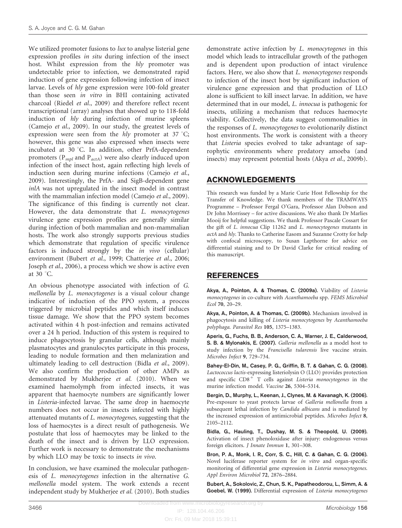<span id="page-10-0"></span>We utilized promoter fusions to *lux* to analyse listerial gene expression profiles in situ during infection of the insect host. Whilst expression from the hly promoter was undetectable prior to infection, we demonstrated rapid induction of gene expression following infection of insect larvae. Levels of hly gene expression were 100-fold greater than those seen in vitro in BHI containing activated charcoal (Riedel et al.[, 2009](#page-11-0)) and therefore reflect recent transcriptional (array) analyses that showed up to 118-fold induction of hly during infection of murine spleens [\(Camejo](#page-11-0) et al., 2009). In our study, the greatest levels of expression were seen from the *hly* promoter at  $37 \degree C$ ; however, this gene was also expressed when insects were incubated at  $30^{\circ}$ C. In addition, other PrfA-dependent promoters ( $P_{mpl}$  and  $P_{actA}$ ) were also clearly induced upon infection of the insect host, again reflecting high levels of induction seen during murine infections [\(Camejo](#page-11-0) et al., [2009](#page-11-0)). Interestingly, the PrfA- and SigB-dependent gene inlA was not upregulated in the insect model in contrast with the mammalian infection model [\(Camejo](#page-11-0) et al., 2009). The significance of this finding is currently not clear. However, the data demonstrate that L. monocytogenes virulence gene expression profiles are generally similar during infection of both mammalian and non-mammalian hosts. The work also strongly supports previous studies which demonstrate that regulation of specific virulence factors is induced strongly by the in vivo (cellular) environment (Bubert et al., 1999; [Chatterjee](#page-11-0) et al., 2006; [Joseph](#page-11-0) et al., 2006), a process which we show is active even at  $30^\circ$ C.

An obvious phenotype associated with infection of G. mellonella by L. monocytogenes is a visual colour change indicative of induction of the PPO system, a process triggered by microbial peptides and which itself induces tissue damage. We show that the PPO system becomes activated within 4 h post-infection and remains activated over a 24 h period. Induction of this system is required to induce phagocytosis by granular cells, although mainly plasmatocytes and granulocytes participate in this process, leading to nodule formation and then melanization and ultimately leading to cell destruction (Bidla et al., 2009). We also confirm the production of other AMPs as demonstrated by [Mukherjee](#page-11-0) et al. (2010). When we examined haemolymph from infected insects, it was apparent that haemocyte numbers are significantly lower in Listeria-infected larvae. The same drop in haemocyte numbers does not occur in insects infected with highly attenuated mutants of L. monocytogenes, suggesting that the loss of haemocytes is a direct result of pathogenesis. We postulate that loss of haemocytes may be linked to the death of the insect and is driven by LLO expression. Further work is necessary to demonstrate the mechanisms by which LLO may be toxic to insects in vivo.

In conclusion, we have examined the molecular pathogenesis of L. monocytogenes infection in the alternative G. mellonella model system. The work extends a recent independent study by [Mukherjee](#page-11-0) et al. (2010). Both studies

demonstrate active infection by L. monocytogenes in this model which leads to intracellular growth of the pathogen and is dependent upon production of intact virulence factors. Here, we also show that L. monocytogenes responds to infection of the insect host by significant induction of virulence gene expression and that production of LLO alone is sufficient to kill insect larvae. In addition, we have determined that in our model, L. innocua is pathogenic for insects, utilizing a mechanism that reduces haemocyte viability. Collectively, the data suggest commonalities in the responses of L. monocytogenes to evolutionarily distinct host environments. The work is consistent with a theory that Listeria species evolved to take advantage of saprophytic environments where predatory amoeba (and insects) may represent potential hosts (Akya et al., 2009b).

# ACKNOWLEDGEMENTS

This research was funded by a Marie Curie Host Fellowship for the Transfer of Knowledge. We thank members of the TRAMWAYS Programme – Professor Fergal O'Gara, Professor Alan Dobson and Dr John Morrissey – for active discussions. We also thank Dr Marlies Mooij for helpful suggestions. We thank Professor Pascale Cossart for the gift of L. innocua Clip 11262 and L. monocytogenes mutants in actA and hly. Thanks to Catherine Easom and Suzanne Crotty for help with confocal microscopy, to Susan Lapthorne for advice on differential staining and to Dr David Clarke for critical reading of this manuscript.

# REFERENCES

Akya, A., Pointon, A. & Thomas, C. (2009a). Viability of Listeria monocytogenes in co-culture with Acanthamoeba spp. FEMS Microbiol Ecol 70, 20–29.

Akya, A., Pointon, A. & Thomas, C. (2009b). Mechanism involved in phagocytosis and killing of Listeria monocytogenes by Acanthamoeba polyphaga. Parasitol Res 105, 1375–1383.

Aperis, G., Fuchs, B. B., Anderson, C. A., Warner, J. E., Calderwood, S. B. & Mylonakis, E. (2007). Galleria mellonella as a model host to study infection by the Francisella tularensis live vaccine strain. Microbes Infect 9, 729–734.

Bahey-El-Din, M., Casey, P. G., Griffin, B. T. & Gahan, C. G. (2008). Lactococcus lactis-expressing listeriolysin O (LLO) provides protection and specific  $CDS<sup>+</sup>$  T cells against Listeria monocytogenes in the murine infection model. Vaccine 26, 5304–5314.

Bergin, D., Murphy, L., Keenan, J., Clynes, M. & Kavanagh, K. (2006). Pre-exposure to yeast protects larvae of Galleria mellonella from a subsequent lethal infection by Candida albicans and is mediated by the increased expression of antimicrobial peptides. Microbes Infect 8, 2105–2112.

Bidla, G., Hauling, T., Dushay, M. S. & Theopold, U. (2009). Activation of insect phenoloxidase after injury: endogenous versus foreign elicitors. J Innate Immun 1, 301–308.

Bron, P. A., Monk, I. R., Corr, S. C., Hill, C. & Gahan, C. G. (2006). Novel luciferase reporter system for in vitro and organ-specific monitoring of differential gene expression in Listeria monocytogenes. Appl Environ Microbiol 72, 2876–2884.

Bubert, A., Sokolovic, Z., Chun, S. K., Papatheodorou, L., Simm, A. & Goebel, W. (1999). Differential expression of Listeria monocytogenes

On: Fri, 09 Mar 2018 15:39:11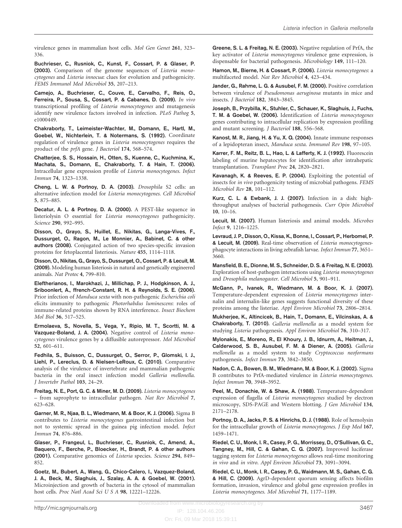<span id="page-11-0"></span>virulence genes in mammalian host cells. Mol Gen Genet 261, 323– 336.

Buchrieser, C., Rusniok, C., Kunst, F., Cossart, P. & Glaser, P. (2003). Comparison of the genome sequences of Listeria monocytogenes and Listeria innocua: clues for evolution and pathogenicity. FEMS Immunol Med Microbiol 35, 207–213.

Camejo, A., Buchrieser, C., Couve, E., Carvalho, F., Reis, O., Ferreira, P., Sousa, S., Cossart, P. & Cabanes, D. (2009). In vivo transcriptional profiling of Listeria monocytogenes and mutagenesis identify new virulence factors involved in infection. PLoS Pathog 5, e1000449.

Chakraborty, T., Leimeister-Wachter, M., Domann, E., Hartl, M., Goebel, W., Nichterlein, T. & Notermans, S. (1992). Coordinate regulation of virulence genes in Listeria monocytogenes requires the product of the prfA gene. J Bacteriol 174, 568–574.

Chatterjee, S. S., Hossain, H., Otten, S., Kuenne, C., Kuchmina, K., Machata, S., Domann, E., Chakraborty, T. & Hain, T. (2006). Intracellular gene expression profile of Listeria monocytogenes. Infect Immun 74, 1323–1338.

Cheng, L. W. & Portnoy, D. A. (2003). Drosophila S2 cells: an alternative infection model for Listeria monocytogenes. Cell Microbiol 5, 875–885.

Decatur, A. L. & Portnoy, D. A. (2000). A PEST-like sequence in listeriolysin O essential for Listeria monocytogenes pathogenicity. Science 290, 992–995.

Disson, O., Grayo, S., Huillet, E., Nikitas, G., Langa-Vives, F., Dussurget, O., Ragon, M., Le Monnier, A., Babinet, C. & other authors (2008). Conjugated action of two species-specific invasion proteins for fetoplacental listeriosis. Nature 455, 1114–1118.

Disson, O., Nikitas, G., Grayo, S., Dussurget, O., Cossart, P. & Lecuit, M. (2009). Modeling human listeriosis in natural and genetically engineered animals. Nat Protoc 4, 799–810.

Eleftherianos, I., Marokhazi, J., Millichap, P. J., Hodgkinson, A. J., Sriboonlert, A., ffrench-Constant, R. H. & Reynolds, S. E. (2006). Prior infection of Manduca sexta with non-pathogenic Escherichia coli elicits immunity to pathogenic Photorhabdus luminescens: roles of immune-related proteins shown by RNA interference. Insect Biochem Mol Biol 36, 517–525.

Ermolaeva, S., Novella, S., Vega, Y., Ripio, M. T., Scortti, M. & Vazquez-Boland, J. A. (2004). Negative control of Listeria monocytogenes virulence genes by a diffusible autorepressor. Mol Microbiol 52, 601–611.

Fedhila, S., Buisson, C., Dussurget, O., Serror, P., Glomski, I. J., Liehl, P., Lereclus, D. & Nielsen-LeRoux, C. (2010). Comparative analysis of the virulence of invertebrate and mammalian pathogenic bacteria in the oral insect infection model Galleria mellonella. J Invertebr Pathol 103, 24–29.

Freitag, N. E., Port, G. C. & Miner, M. D. (2009). Listeria monocytogenes – from saprophyte to intracellular pathogen. Nat Rev Microbiol 7, 623–628.

Garner, M. R., Njaa, B. L., Wiedmann, M. & Boor, K. J. (2006). Sigma B contributes to Listeria monocytogenes gastrointestinal infection but not to systemic spread in the guinea pig infection model. Infect Immun 74, 876–886.

Glaser, P., Frangeul, L., Buchrieser, C., Rusniok, C., Amend, A., Baquero, F., Berche, P., Bloecker, H., Brandt, P. & other authors (2001). Comparative genomics of Listeria species. Science 294, 849– 852.

Goetz, M., Bubert, A., Wang, G., Chico-Calero, I., Vazquez-Boland, J. A., Beck, M., Slaghuis, J., Szalay, A. A. & Goebel, W. (2001). Microinjection and growth of bacteria in the cytosol of mammalian host cells. Proc Natl Acad Sci U S A 98, 12221-12226.

Greene, S. L. & Freitag, N. E. (2003). Negative regulation of PrfA, the key activator of Listeria monocytogenes virulence gene expression, is dispensable for bacterial pathogenesis. Microbiology 149, 111–120.

Hamon, M., Bierne, H. & Cossart, P. (2006). Listeria monocytogenes: a multifaceted model. Nat Rev Microbiol 4, 423–434.

Jander, G., Rahme, L. G. & Ausubel, F. M. (2000). Positive correlation between virulence of Pseudomonas aeruginosa mutants in mice and insects. J Bacteriol 182, 3843–3845.

Joseph, B., Przybilla, K., Stuhler, C., Schauer, K., Slaghuis, J., Fuchs, T. M. & Goebel, W. (2006). Identification of Listeria monocytogenes genes contributing to intracellular replication by expression profiling and mutant screening. J Bacteriol 188, 556–568.

Kanost, M. R., Jiang, H. & Yu, X. Q. (2004). Innate immune responses of a lepidopteran insect, Manduca sexta. Immunol Rev 198, 97–105.

Karrer, F. M., Reitz, B. L., Hao, L. & Lafferty, K. J. (1992). Fluorescein labeling of murine hepatocytes for identification after intrahepatic transplantation. Transplant Proc 24, 2820–2821.

Kavanagh, K. & Reeves, E. P. (2004). Exploiting the potential of insects for in vivo pathogenicity testing of microbial pathogens. FEMS Microbiol Rev 28, 101–112.

Kurz, C. L. & Ewbank, J. J. (2007). Infection in a dish: highthroughput analyses of bacterial pathogenesis. Curr Opin Microbiol 10, 10–16.

Lecuit, M. (2007). Human listeriosis and animal models. Microbes Infect 9, 1216–1225.

Levraud, J. P., Disson, O., Kissa, K., Bonne, I., Cossart, P., Herbomel, P. & Lecuit, M. (2009). Real-time observation of Listeria monocytogenesphagocyte interactions in living zebrafish larvae. Infect Immun 77, 3651– 3660.

Mansfield, B. E., Dionne, M. S., Schneider, D. S. & Freitag, N. E. (2003). Exploration of host-pathogen interactions using Listeria monocytogenes and Drosophila melanogaster. Cell Microbiol 5, 901–911.

McGann, P., Ivanek, R., Wiedmann, M. & Boor, K. J. (2007). Temperature-dependent expression of Listeria monocytogenes internalin and internalin-like genes suggests functional diversity of these proteins among the listeriae. Appl Environ Microbiol 73, 2806–2814.

Mukherjee, K., Altincicek, B., Hain, T., Domann, E., Vilcinskas, A. & Chakraborty, T. (2010). Galleria mellonella as a model system for studying Listeria pathogenesis. Appl Environ Microbiol 76, 310–317.

Mylonakis, E., Moreno, R., El Khoury, J. B., Idnurm, A., Heitman, J., Calderwood, S. B., Ausubel, F. M. & Diener, A. (2005). Galleria mellonella as a model system to study Cryptococcus neoformans pathogenesis. Infect Immun 73, 3842–3850.

Nadon, C. A., Bowen, B. M., Wiedmann, M. & Boor, K. J. (2002). Sigma B contributes to PrfA-mediated virulence in Listeria monocytogenes. Infect Immun 70, 3948–3952.

Peel, M., Donachie, W. & Shaw, A. (1988). Temperature-dependent expression of flagella of Listeria monocytogenes studied by electron microscopy, SDS-PAGE and Western blotting. J Gen Microbiol 134, 2171–2178.

Portnoy, D. A., Jacks, P. S. & Hinrichs, D. J. (1988). Role of hemolysin for the intracellular growth of Listeria monocytogenes. J Exp Med 167, 1459–1471.

Riedel, C. U., Monk, I. R., Casey, P. G., Morrissey, D., O'Sullivan, G. C., Tangney, M., Hill, C. & Gahan, C. G. (2007). Improved luciferase tagging system for Listeria monocytogenes allows real-time monitoring in vivo and in vitro. Appl Environ Microbiol 73, 3091–3094.

Riedel, C. U., Monk, I. R., Casey, P. G., Waidmann, M. S., Gahan, C. G. & Hill, C. (2009). AgrD-dependent quorum sensing affects biofilm formation, invasion, virulence and global gene expression profiles in Listeria monocytogenes. Mol Microbiol 71, 1177–1189.